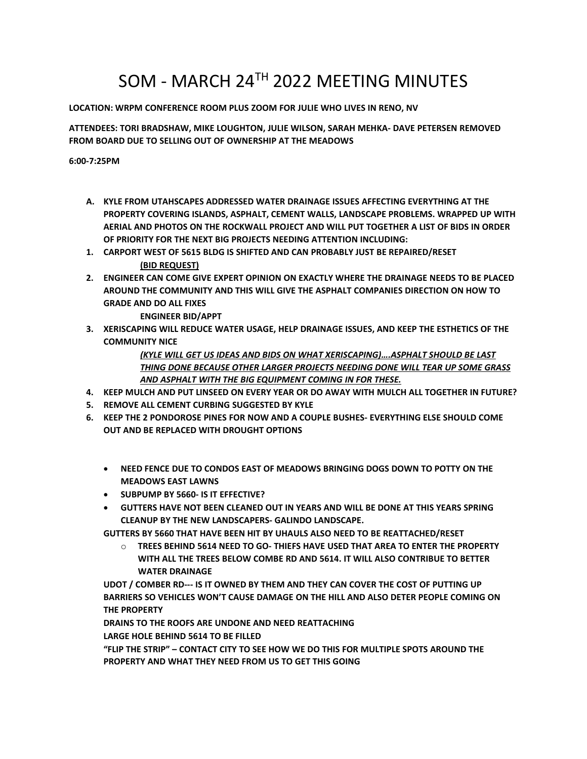## SOM - MARCH 24TH 2022 MEETING MINUTES

**LOCATION: WRPM CONFERENCE ROOM PLUS ZOOM FOR JULIE WHO LIVES IN RENO, NV**

**ATTENDEES: TORI BRADSHAW, MIKE LOUGHTON, JULIE WILSON, SARAH MEHKA- DAVE PETERSEN REMOVED FROM BOARD DUE TO SELLING OUT OFOWNERSHIP AT THE MEADOWS**

**6:00-7:25PM**

- **A. KYLE FROM UTAHSCAPES ADDRESSED WATER DRAINAGE ISSUES AFFECTING EVERYTHING AT THE PROPERTY COVERING ISLANDS, ASPHALT, CEMENT WALLS, LANDSCAPE PROBLEMS. WRAPPED UP WITH AERIAL AND PHOTOS ON THE ROCKWALL PROJECT AND WILL PUT TOGETHER A LIST OF BIDS IN ORDER OF PRIORITY FOR THE NEXT BIG PROJECTS NEEDING ATTENTION INCLUDING:**
- **1. CARPORT WEST OF 5615 BLDG IS SHIFTED AND CAN PROBABLY JUST BE REPAIRED/RESET (BID REQUEST)**
- **2. ENGINEER CAN COME GIVE EXPERT OPINION ON EXACTLY WHERE THE DRAINAGE NEEDS TO BE PLACED AROUND THE COMMUNITY AND THIS WILL GIVE THE ASPHALT COMPANIES DIRECTION ON HOW TO GRADE AND DO ALL FIXES**

**ENGINEER BID/APPT**

**3. XERISCAPING WILL REDUCE WATER USAGE, HELP DRAINAGE ISSUES, AND KEEP THE ESTHETICS OF THE COMMUNITY NICE**

> *(KYLE WILL GET US IDEAS AND BIDS ON WHAT XERISCAPING)….ASPHALT SHOULD BE LAST THING DONE BECAUSE OTHER LARGER PROJECTS NEEDING DONE WILL TEAR UP SOME GRASS AND ASPHALT WITH THE BIG EQUIPMENT COMING IN FOR THESE.*

- **4. KEEP MULCH AND PUT LINSEED ON EVERY YEAR OR DO AWAY WITH MULCH ALL TOGETHER IN FUTURE?**
- **5. REMOVE ALL CEMENT CURBING SUGGESTED BY KYLE**
- **6. KEEP THE 2 PONDOROSE PINES FOR NOW AND A COUPLE BUSHES- EVERYTHING ELSE SHOULD COME OUT AND BE REPLACED WITH DROUGHT OPTIONS**
	- **NEED FENCE DUE TO CONDOSEAST OF MEADOWS BRINGING DOGS DOWN TO POTTYON THE MEADOWS EAST LAWNS**
	- **SUBPUMP BY 5660- IS IT EFFECTIVE?**
	- **GUTTERS HAVE NOT BEEN CLEANED OUT IN YEARS AND WILL BE DONE AT THIS YEARS SPRING CLEANUP BY THE NEW LANDSCAPERS- GALINDO LANDSCAPE.**

**GUTTERS BY 5660 THAT HAVE BEEN HIT BY UHAULS ALSO NEED TO BE REATTACHED/RESET**

o **TREES BEHIND 5614 NEED TO GO- THIEFS HAVE USED THAT AREA TO ENTER THE PROPERTY WITH ALL THE TREES BELOW COMBE RD AND 5614. IT WILL ALSO CONTRIBUE TO BETTER WATER DRAINAGE**

**UDOT / COMBER RD--- IS IT OWNED BY THEM AND THEY CAN COVER THE COST OF PUTTING UP BARRIERS SO VEHICLES WON'T CAUSE DAMAGE ON THE HILL AND ALSO DETER PEOPLE COMING ON THE PROPERTY**

**DRAINS TO THE ROOFS ARE UNDONE AND NEED REATTACHING**

**LARGE HOLE BEHIND 5614 TO BE FILLED**

**"FLIP THE STRIP" – CONTACT CITY TO SEE HOW WE DO THIS FOR MULTIPLE SPOTS AROUND THE PROPERTY AND WHAT THEY NEED FROM US TO GET THIS GOING**